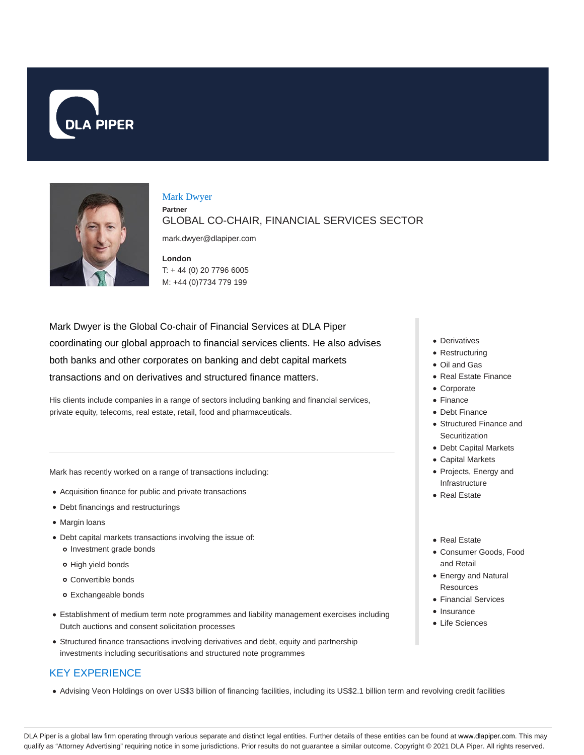



Mark Dwyer

**Partner**

GLOBAL CO-CHAIR, FINANCIAL SERVICES SECTOR

mark.dwyer@dlapiper.com

**London** T: + 44 (0) 20 7796 6005 M: +44 (0)7734 779 199

Mark Dwyer is the Global Co-chair of Financial Services at DLA Piper coordinating our global approach to financial services clients. He also advises both banks and other corporates on banking and debt capital markets transactions and on derivatives and structured finance matters.

His clients include companies in a range of sectors including banking and financial services, private equity, telecoms, real estate, retail, food and pharmaceuticals.

Mark has recently worked on a range of transactions including:

- Acquisition finance for public and private transactions
- Debt financings and restructurings
- Margin loans
- Debt capital markets transactions involving the issue of: o Investment grade bonds
	- o High yield bonds
	- Convertible bonds
	- Exchangeable bonds
- Establishment of medium term note programmes and liability management exercises including Dutch auctions and consent solicitation processes
- Structured finance transactions involving derivatives and debt, equity and partnership investments including securitisations and structured note programmes

# KEY EXPERIENCE

Advising Veon Holdings on over US\$3 billion of financing facilities, including its US\$2.1 billion term and revolving credit facilities

- Derivatives
- Restructuring
- Oil and Gas
- Real Estate Finance
- Corporate
- Finance
- Debt Finance
- Structured Finance and **Securitization**
- Debt Capital Markets
- Capital Markets
- Projects, Energy and Infrastructure
- Real Estate
- Real Estate
- Consumer Goods, Food and Retail
- Energy and Natural **Resources**
- Financial Services
- Insurance
- Life Sciences

DLA Piper is a global law firm operating through various separate and distinct legal entities. Further details of these entities can be found at www.dlapiper.com. This may qualify as "Attorney Advertising" requiring notice in some jurisdictions. Prior results do not guarantee a similar outcome. Copyright @ 2021 DLA Piper. All rights reserved.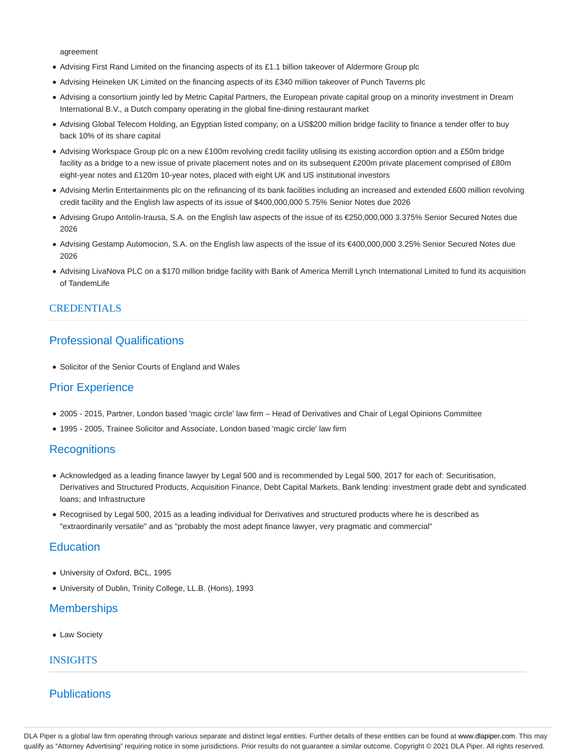agreement

- Advising First Rand Limited on the financing aspects of its £1.1 billion takeover of Aldermore Group plc
- Advising Heineken UK Limited on the financing aspects of its £340 million takeover of Punch Taverns plc
- Advising a consortium jointly led by Metric Capital Partners, the European private capital group on a minority investment in Dream International B.V., a Dutch company operating in the global fine-dining restaurant market
- Advising Global Telecom Holding, an Egyptian listed company, on a US\$200 million bridge facility to finance a tender offer to buy back 10% of its share capital
- Advising Workspace Group plc on a new £100m revolving credit facility utilising its existing accordion option and a £50m bridge facility as a bridge to a new issue of private placement notes and on its subsequent £200m private placement comprised of £80m eight-year notes and £120m 10-year notes, placed with eight UK and US institutional investors
- Advising Merlin Entertainments plc on the refinancing of its bank facilities including an increased and extended £600 million revolving credit facility and the English law aspects of its issue of \$400,000,000 5.75% Senior Notes due 2026
- Advising Grupo Antolín-Irausa, S.A. on the English law aspects of the issue of its €250,000,000 3.375% Senior Secured Notes due 2026
- Advising Gestamp Automocion, S.A. on the English law aspects of the issue of its €400,000,000 3.25% Senior Secured Notes due 2026
- Advising LivaNova PLC on a \$170 million bridge facility with Bank of America Merrill Lynch International Limited to fund its acquisition of TandemLife

#### **CREDENTIALS**

# Professional Qualifications

• Solicitor of the Senior Courts of England and Wales

## Prior Experience

- 2005 2015, Partner, London based 'magic circle' law firm Head of Derivatives and Chair of Legal Opinions Committee
- 1995 2005, Trainee Solicitor and Associate, London based 'magic circle' law firm

### **Recognitions**

- Acknowledged as a leading finance lawyer by Legal 500 and is recommended by Legal 500, 2017 for each of: Securitisation, Derivatives and Structured Products, Acquisition Finance, Debt Capital Markets, Bank lending: investment grade debt and syndicated loans; and Infrastructure
- Recognised by Legal 500, 2015 as a leading individual for Derivatives and structured products where he is described as "extraordinarily versatile" and as "probably the most adept finance lawyer, very pragmatic and commercial"

### **Education**

- University of Oxford, BCL, 1995
- University of Dublin, Trinity College, LL.B. (Hons), 1993

### **Memberships**

Law Society

### **INSIGHTS**

# **Publications**

DLA Piper is a global law firm operating through various separate and distinct legal entities. Further details of these entities can be found at www.dlapiper.com. This may qualify as "Attorney Advertising" requiring notice in some jurisdictions. Prior results do not guarantee a similar outcome. Copyright © 2021 DLA Piper. All rights reserved.